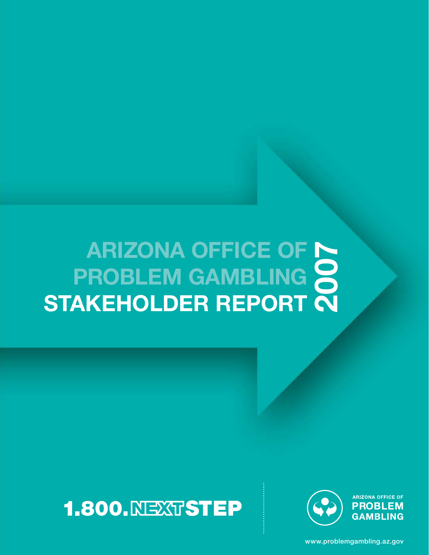# **ARIZONA OFFICE OF PROBLEM GAMBLING STAKEHOLDER REPORT<br>2007 STAKEHOLDER REPORT**





**ARIZONA OFFICE OF PROBLEM GAMBLING** 

www.problemgambling.az.gov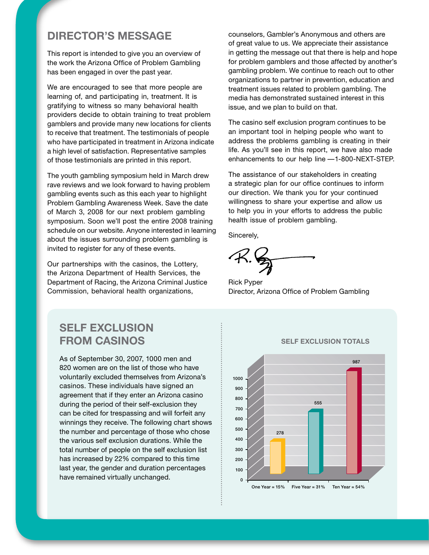### **DIRECTOR'S MESSAGE**

This report is intended to give you an overview of the work the Arizona Office of Problem Gambling has been engaged in over the past year.

We are encouraged to see that more people are learning of, and participating in, treatment. It is gratifying to witness so many behavioral health providers decide to obtain training to treat problem gamblers and provide many new locations for clients to receive that treatment. The testimonials of people who have participated in treatment in Arizona indicate a high level of satisfaction. Representative samples of those testimonials are printed in this report.

The youth gambling symposium held in March drew rave reviews and we look forward to having problem gambling events such as this each year to highlight Problem Gambling Awareness Week. Save the date of March 3, 2008 for our next problem gambling symposium. Soon we'll post the entire 2008 training schedule on our website. Anyone interested in learning about the issues surrounding problem gambling is invited to register for any of these events.

Our partnerships with the casinos, the Lottery, the Arizona Department of Health Services, the Department of Racing, the Arizona Criminal Justice Commission, behavioral health organizations,

counselors, Gambler's Anonymous and others are of great value to us. We appreciate their assistance in getting the message out that there is help and hope for problem gamblers and those affected by another's gambling problem. We continue to reach out to other organizations to partner in prevention, education and treatment issues related to problem gambling. The media has demonstrated sustained interest in this issue, and we plan to build on that.

The casino self exclusion program continues to be an important tool in helping people who want to address the problems gambling is creating in their life. As you'll see in this report, we have also made enhancements to our help line — 1-800-NEXT-STEP.

The assistance of our stakeholders in creating a strategic plan for our office continues to inform our direction. We thank you for your continued willingness to share your expertise and allow us to help you in your efforts to address the public health issue of problem gambling.

Sincerely,

Rick Pyper Director, Arizona Office of Problem Gambling

### **SELF EXCLUSION FROM CASINOS**

As of September 30, 2007, 1000 men and 820 women are on the list of those who have voluntarily excluded themselves from Arizona's casinos. These individuals have signed an agreement that if they enter an Arizona casino during the period of their self-exclusion they can be cited for trespassing and will forfeit any winnings they receive. The following chart shows the number and percentage of those who chose the various self exclusion durations. While the total number of people on the self exclusion list has increased by 22% compared to this time last year, the gender and duration percentages have remained virtually unchanged.



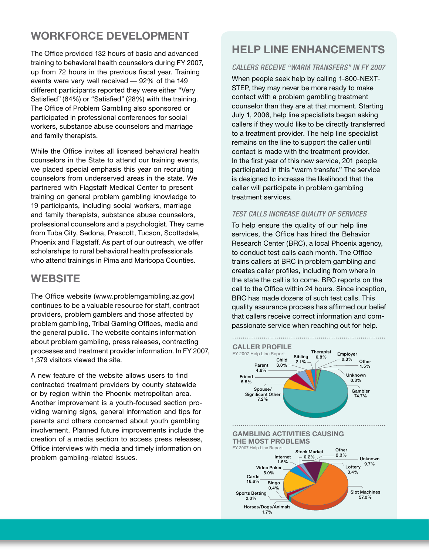### **WORKFORCE DEVELOPMENT**

The Office provided 132 hours of basic and advanced training to behavioral health counselors during FY 2007, up from 72 hours in the previous fiscal year. Training events were very well received — 92% of the 149 different participants reported they were either "Very Satisfied" (64%) or "Satisfied" (28%) with the training. The Office of Problem Gambling also sponsored or participated in professional conferences for social workers, substance abuse counselors and marriage and family therapists.

While the Office invites all licensed behavioral health counselors in the State to attend our training events, we placed special emphasis this year on recruiting counselors from underserved areas in the state. We partnered with Flagstaff Medical Center to present training on general problem gambling knowledge to 19 participants, including social workers, marriage and family therapists, substance abuse counselors, professional counselors and a psychologist. They came from Tuba City, Sedona, Prescott, Tucson, Scottsdale, Phoenix and Flagstaff. As part of our outreach, we offer scholarships to rural behavioral health professionals who attend trainings in Pima and Maricopa Counties.

### **WEBSITE**

The Office website (www.problemgambling.az.gov) continues to be a valuable resource for staff, contract providers, problem gamblers and those affected by problem gambling, Tribal Gaming Offices, media and the general public. The website contains information about problem gambling, press releases, contracting processes and treatment provider information. In FY 2007, 1,379 visitors viewed the site.

A new feature of the website allows users to find contracted treatment providers by county statewide or by region within the Phoenix metropolitan area. Another improvement is a youth-focused section providing warning signs, general information and tips for parents and others concerned about youth gambling involvement. Planned future improvements include the creation of a media section to access press releases, Office interviews with media and timely information on problem gambling-related issues.

### **HELP LINE ENHANCEMENTS**

#### *CALLERS RECEIVE "WARM TRANSFERS" IN FY 2007*

When people seek help by calling 1-800-NEXT-STEP, they may never be more ready to make contact with a problem gambling treatment counselor than they are at that moment. Starting July 1, 2006, help line specialists began asking callers if they would like to be directly transferred to a treatment provider. The help line specialist remains on the line to support the caller until contact is made with the treatment provider. In the first year of this new service, 201 people participated in this "warm transfer." The service is designed to increase the likelihood that the caller will participate in problem gambling treatment services.

#### *TEST CALLS INCREASE QUALITY OF SERVICES*

To help ensure the quality of our help line services, the Office has hired the Behavior Research Center (BRC), a local Phoenix agency, to conduct test calls each month. The Office trains callers at BRC in problem gambling and creates caller profiles, including from where in the state the call is to come. BRC reports on the call to the Office within 24 hours. Since inception, BRC has made dozens of such test calls. This quality assurance process has affirmed our belief that callers receive correct information and compassionate service when reaching out for help.

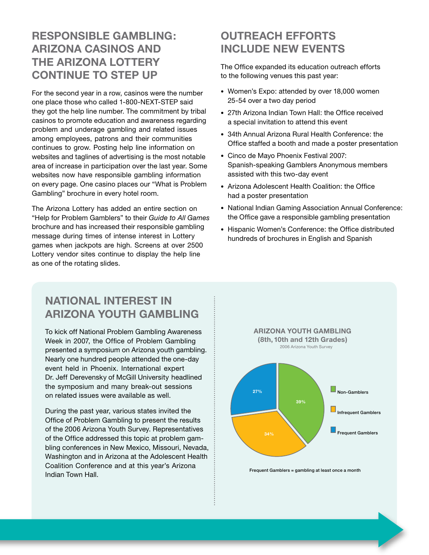### **RESPONSIBLE GAMBLING: ARIZONA CASINOS AND THE ARIZONA LOTTERY CONTINUE TO STEP UP**

For the second year in a row, casinos were the number one place those who called 1-800-NEXT-STEP said they got the help line number. The commitment by tribal casinos to promote education and awareness regarding problem and underage gambling and related issues among employees, patrons and their communities continues to grow. Posting help line information on websites and taglines of advertising is the most notable area of increase in participation over the last year. Some websites now have responsible gambling information on every page. One casino places our "What is Problem Gambling" brochure in every hotel room.

The Arizona Lottery has added an entire section on "Help for Problem Gamblers" to their *Guide to All Games* brochure and has increased their responsible gambling message during times of intense interest in Lottery games when jackpots are high. Screens at over 2500 Lottery vendor sites continue to display the help line as one of the rotating slides.

### **OUTREACH EFFORTS INCLUDE NEW EVENTS**

The Office expanded its education outreach efforts to the following venues this past year:

- Women's Expo: attended by over 18,000 women 25-54 over a two day period
- 27th Arizona Indian Town Hall: the Office received a special invitation to attend this event
- 34th Annual Arizona Rural Health Conference: the Office staffed a booth and made a poster presentation
- Cinco de Mayo Phoenix Festival 2007: Spanish-speaking Gamblers Anonymous members assisted with this two-day event
- Arizona Adolescent Health Coalition: the Office had a poster presentation
- National Indian Gaming Association Annual Conference: the Office gave a responsible gambling presentation
- Hispanic Women's Conference: the Office distributed hundreds of brochures in English and Spanish

### **NATIONAL INTEREST IN ARIZONA YOUTH GAMBLING**

To kick off National Problem Gambling Awareness Week in 2007, the Office of Problem Gambling presented a symposium on Arizona youth gambling. Nearly one hundred people attended the one-day event held in Phoenix. International expert Dr. Jeff Derevensky of McGill University headlined the symposium and many break-out sessions on related issues were available as well.

During the past year, various states invited the Office of Problem Gambling to present the results of the 2006 Arizona Youth Survey. Representatives of the Office addressed this topic at problem gambling conferences in New Mexico, Missouri, Nevada, Washington and in Arizona at the Adolescent Health Coalition Conference and at this year's Arizona Indian Town Hall.



Frequent Gamblers = gambling at least once a month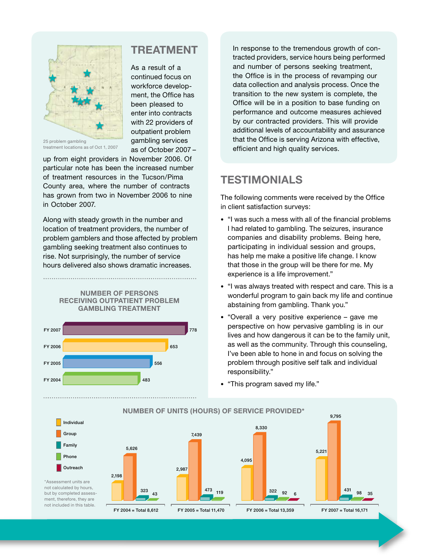

treatment locations as of Oct 1, 2007

up from eight providers in November 2006. Of particular note has been the increased number of treatment resources in the Tucson/Pima County area, where the number of contracts has grown from two in November 2006 to nine in October 2007.

Along with steady growth in the number and location of treatment providers, the number of problem gamblers and those affected by problem gambling seeking treatment also continues to rise. Not surprisingly, the number of service hours delivered also shows dramatic increases.

> **NUMBER OF PERSONS RECEIVING OUTPATIENT PROBLEM GAMBLING TREATMENT**



**TREATMENT**

As a result of a continued focus on workforce development, the Office has been pleased to enter into contracts with 22 providers of outpatient problem gambling services as of October 2007 – In response to the tremendous growth of contracted providers, service hours being performed and number of persons seeking treatment, the Office is in the process of revamping our data collection and analysis process. Once the transition to the new system is complete, the Office will be in a position to base funding on performance and outcome measures achieved by our contracted providers. This will provide additional levels of accountability and assurance that the Office is serving Arizona with effective, efficient and high quality services.

### **TESTIMONIALS**

The following comments were received by the Office in client satisfaction surveys:

- "I was such a mess with all of the financial problems I had related to gambling. The seizures, insurance companies and disability problems. Being here, participating in individual session and groups, has help me make a positive life change. I know that those in the group will be there for me. My experience is a life improvement."
- "I was always treated with respect and care. This is a wonderful program to gain back my life and continue abstaining from gambling. Thank you."
- "Overall a very positive experience gave me perspective on how pervasive gambling is in our lives and how dangerous it can be to the family unit, as well as the community. Through this counseling, I've been able to hone in and focus on solving the problem through positive self talk and individual responsibility."
- "This program saved my life."